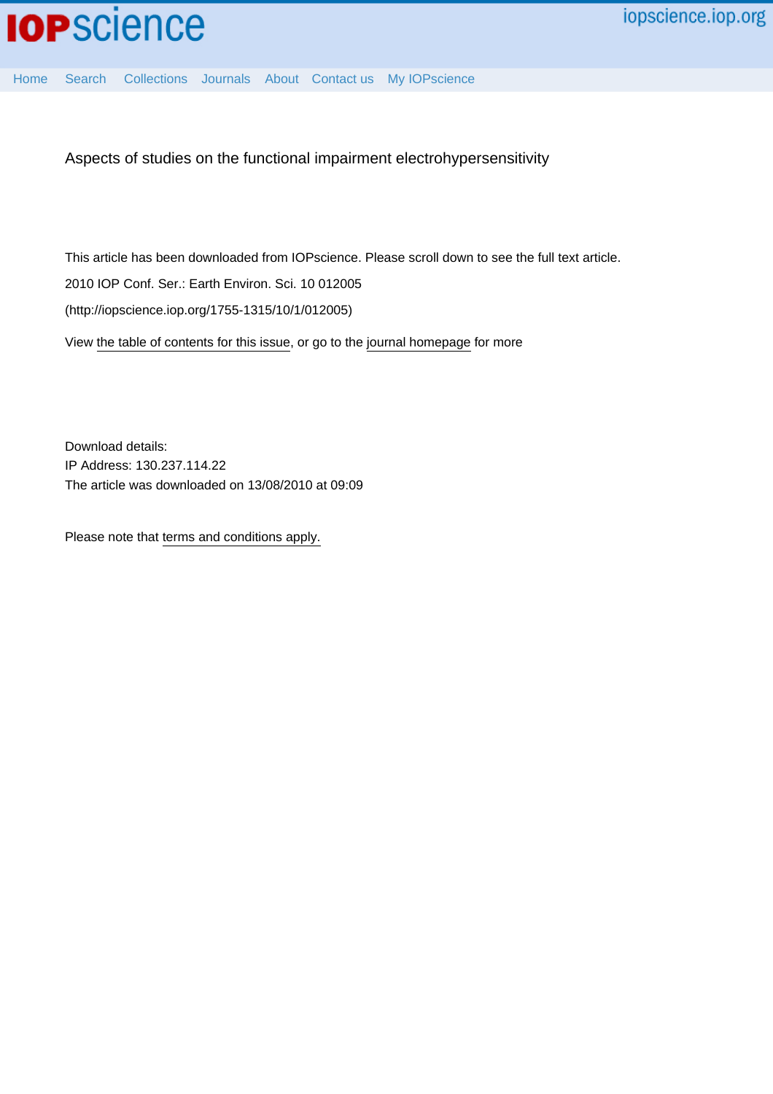

[Home](http://iopscience.iop.org/) [Search](http://iopscience.iop.org/search) [Collections](http://iopscience.iop.org/collections) [Journals](http://iopscience.iop.org/journals) [About](http://iopscience.iop.org/page/aboutioppublishing) [Contact us](http://iopscience.iop.org/contact) [My IOPscience](http://iopscience.iop.org/myiopscience)

Aspects of studies on the functional impairment electrohypersensitivity

This article has been downloaded from IOPscience. Please scroll down to see the full text article. 2010 IOP Conf. Ser.: Earth Environ. Sci. 10 012005 (http://iopscience.iop.org/1755-1315/10/1/012005) View [the table of contents for this issue](http://iopscience.iop.org/1755-1315/10/1), or go to the [journal homepage](http://iopscience.iop.org/1755-1315) for more

Download details: IP Address: 130.237.114.22 The article was downloaded on 13/08/2010 at 09:09

Please note that [terms and conditions apply.](http://iopscience.iop.org/page/terms)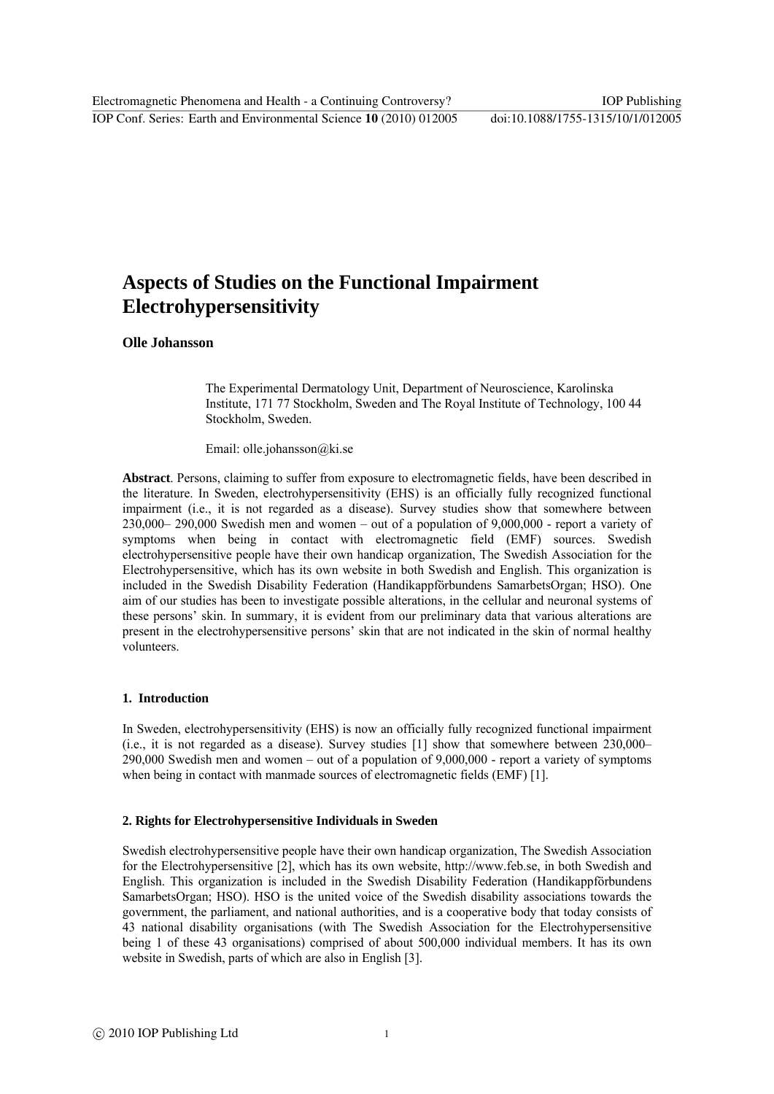Electromagnetic Phenomena and Health - a Continuing Controversy? IOP Publishing

IOP Conf. Series: Earth and Environmental Science **10** (2010) 012005 doi:10.1088/1755-1315/10/1/012005

# **Aspects of Studies on the Functional Impairment Electrohypersensitivity**

# **Olle Johansson**

The Experimental Dermatology Unit, Department of Neuroscience, Karolinska Institute, 171 77 Stockholm, Sweden and The Royal Institute of Technology, 100 44 Stockholm, Sweden.

Email: olle.johansson@ki.se

**Abstract**. Persons, claiming to suffer from exposure to electromagnetic fields, have been described in the literature. In Sweden, electrohypersensitivity (EHS) is an officially fully recognized functional impairment (i.e., it is not regarded as a disease). Survey studies show that somewhere between 230,000– 290,000 Swedish men and women – out of a population of 9,000,000 - report a variety of symptoms when being in contact with electromagnetic field (EMF) sources. Swedish electrohypersensitive people have their own handicap organization, The Swedish Association for the Electrohypersensitive, which has its own website in both Swedish and English. This organization is included in the Swedish Disability Federation (Handikappförbundens SamarbetsOrgan; HSO). One aim of our studies has been to investigate possible alterations, in the cellular and neuronal systems of these persons' skin. In summary, it is evident from our preliminary data that various alterations are present in the electrohypersensitive persons' skin that are not indicated in the skin of normal healthy volunteers.

# **1. Introduction**

In Sweden, electrohypersensitivity (EHS) is now an officially fully recognized functional impairment (i.e., it is not regarded as a disease). Survey studies [1] show that somewhere between 230,000– 290,000 Swedish men and women – out of a population of 9,000,000 - report a variety of symptoms when being in contact with manmade sources of electromagnetic fields (EMF) [1].

#### **2. Rights for Electrohypersensitive Individuals in Sweden**

Swedish electrohypersensitive people have their own handicap organization, The Swedish Association for the Electrohypersensitive [2], which has its own website, http://www.feb.se, in both Swedish and English. This organization is included in the Swedish Disability Federation (Handikappförbundens SamarbetsOrgan; HSO). HSO is the united voice of the Swedish disability associations towards the government, the parliament, and national authorities, and is a cooperative body that today consists of 43 national disability organisations (with The Swedish Association for the Electrohypersensitive being 1 of these 43 organisations) comprised of about 500,000 individual members. It has its own website in Swedish, parts of which are also in English [3].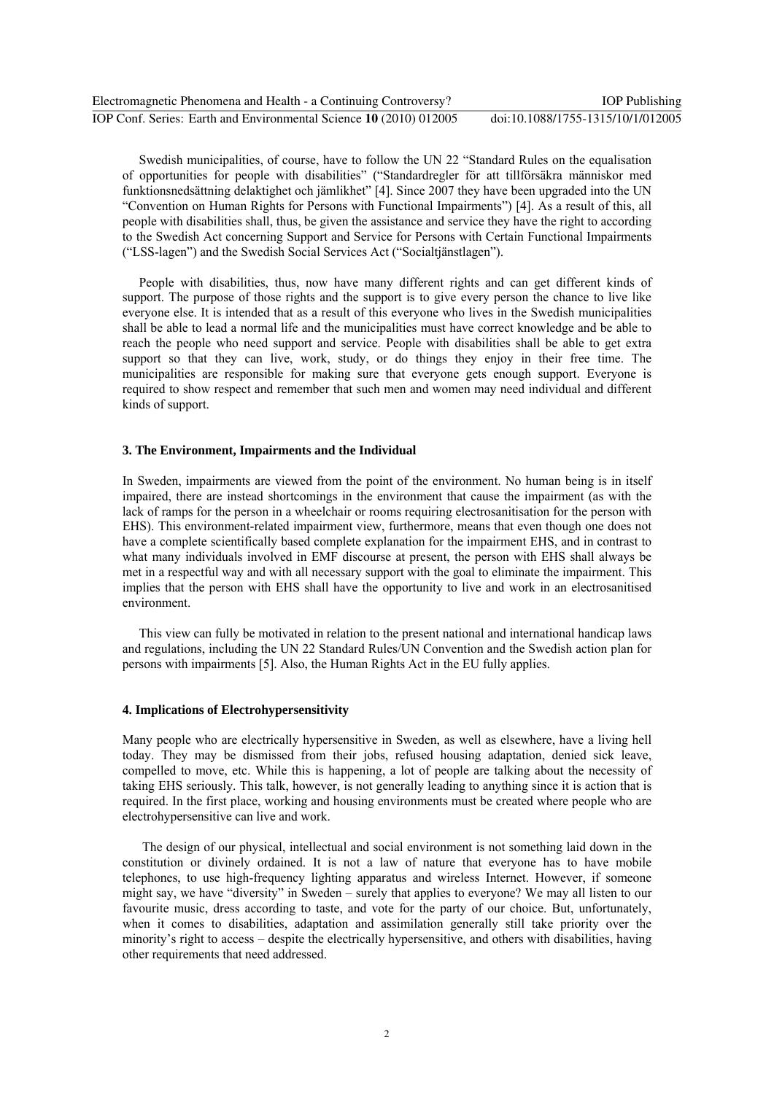| Electromagnetic Phenomena and Health - a Continuing Controversy?   | <b>IOP</b> Publishing             |
|--------------------------------------------------------------------|-----------------------------------|
| IOP Conf. Series: Earth and Environmental Science 10 (2010) 012005 | doi:10.1088/1755-1315/10/1/012005 |

Swedish municipalities, of course, have to follow the UN 22 "Standard Rules on the equalisation of opportunities for people with disabilities" ("Standardregler för att tillförsäkra människor med funktionsnedsättning delaktighet och jämlikhet" [4]. Since 2007 they have been upgraded into the UN "Convention on Human Rights for Persons with Functional Impairments") [4]. As a result of this, all people with disabilities shall, thus, be given the assistance and service they have the right to according to the Swedish Act concerning Support and Service for Persons with Certain Functional Impairments ("LSS-lagen") and the Swedish Social Services Act ("Socialtjänstlagen").

People with disabilities, thus, now have many different rights and can get different kinds of support. The purpose of those rights and the support is to give every person the chance to live like everyone else. It is intended that as a result of this everyone who lives in the Swedish municipalities shall be able to lead a normal life and the municipalities must have correct knowledge and be able to reach the people who need support and service. People with disabilities shall be able to get extra support so that they can live, work, study, or do things they enjoy in their free time. The municipalities are responsible for making sure that everyone gets enough support. Everyone is required to show respect and remember that such men and women may need individual and different kinds of support.

# **3. The Environment, Impairments and the Individual**

In Sweden, impairments are viewed from the point of the environment. No human being is in itself impaired, there are instead shortcomings in the environment that cause the impairment (as with the lack of ramps for the person in a wheelchair or rooms requiring electrosanitisation for the person with EHS). This environment-related impairment view, furthermore, means that even though one does not have a complete scientifically based complete explanation for the impairment EHS, and in contrast to what many individuals involved in EMF discourse at present, the person with EHS shall always be met in a respectful way and with all necessary support with the goal to eliminate the impairment. This implies that the person with EHS shall have the opportunity to live and work in an electrosanitised environment.

This view can fully be motivated in relation to the present national and international handicap laws and regulations, including the UN 22 Standard Rules/UN Convention and the Swedish action plan for persons with impairments [5]. Also, the Human Rights Act in the EU fully applies.

#### **4. Implications of Electrohypersensitivity**

Many people who are electrically hypersensitive in Sweden, as well as elsewhere, have a living hell today. They may be dismissed from their jobs, refused housing adaptation, denied sick leave, compelled to move, etc. While this is happening, a lot of people are talking about the necessity of taking EHS seriously. This talk, however, is not generally leading to anything since it is action that is required. In the first place, working and housing environments must be created where people who are electrohypersensitive can live and work.

 The design of our physical, intellectual and social environment is not something laid down in the constitution or divinely ordained. It is not a law of nature that everyone has to have mobile telephones, to use high-frequency lighting apparatus and wireless Internet. However, if someone might say, we have "diversity" in Sweden – surely that applies to everyone? We may all listen to our favourite music, dress according to taste, and vote for the party of our choice. But, unfortunately, when it comes to disabilities, adaptation and assimilation generally still take priority over the minority's right to access – despite the electrically hypersensitive, and others with disabilities, having other requirements that need addressed.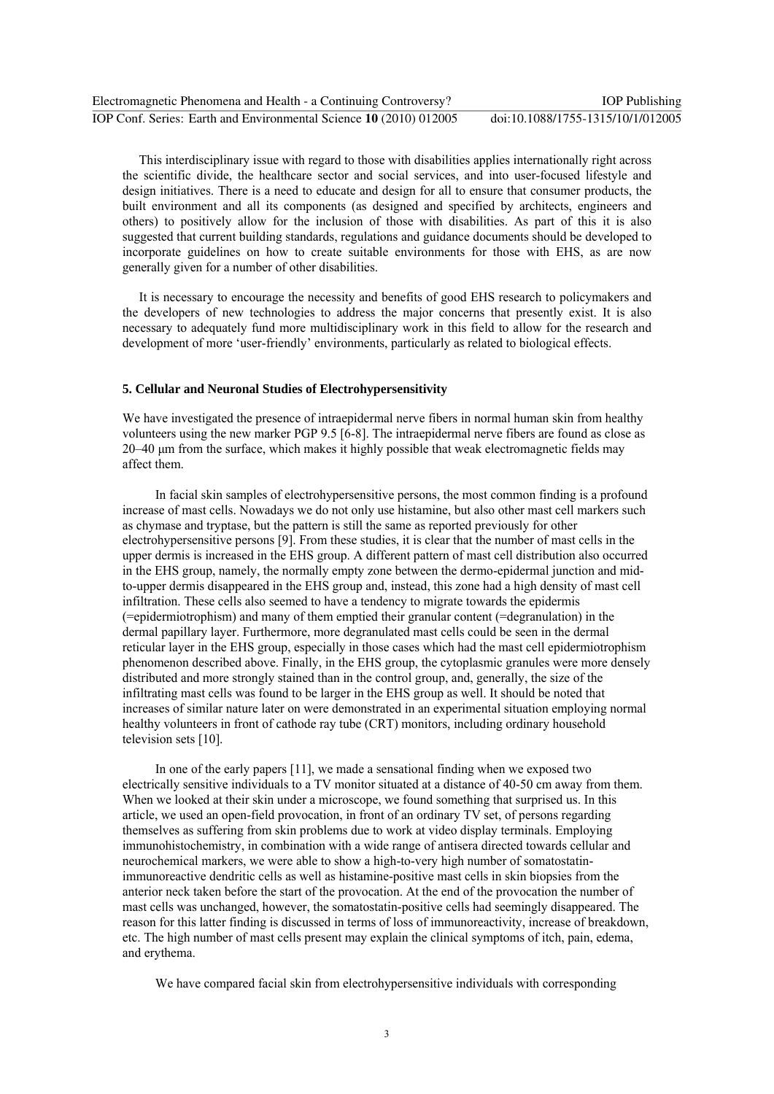| Electromagnetic Phenomena and Health - a Continuing Controversy?   | <b>IOP</b> Publishing             |
|--------------------------------------------------------------------|-----------------------------------|
| IOP Conf. Series: Earth and Environmental Science 10 (2010) 012005 | doi:10.1088/1755-1315/10/1/012005 |

This interdisciplinary issue with regard to those with disabilities applies internationally right across the scientific divide, the healthcare sector and social services, and into user-focused lifestyle and design initiatives. There is a need to educate and design for all to ensure that consumer products, the built environment and all its components (as designed and specified by architects, engineers and others) to positively allow for the inclusion of those with disabilities. As part of this it is also suggested that current building standards, regulations and guidance documents should be developed to incorporate guidelines on how to create suitable environments for those with EHS, as are now generally given for a number of other disabilities.

It is necessary to encourage the necessity and benefits of good EHS research to policymakers and the developers of new technologies to address the major concerns that presently exist. It is also necessary to adequately fund more multidisciplinary work in this field to allow for the research and development of more 'user-friendly' environments, particularly as related to biological effects.

#### **5. Cellular and Neuronal Studies of Electrohypersensitivity**

We have investigated the presence of intraepidermal nerve fibers in normal human skin from healthy volunteers using the new marker PGP 9.5 [6-8]. The intraepidermal nerve fibers are found as close as 20–40 μm from the surface, which makes it highly possible that weak electromagnetic fields may affect them.

 In facial skin samples of electrohypersensitive persons, the most common finding is a profound increase of mast cells. Nowadays we do not only use histamine, but also other mast cell markers such as chymase and tryptase, but the pattern is still the same as reported previously for other electrohypersensitive persons [9]. From these studies, it is clear that the number of mast cells in the upper dermis is increased in the EHS group. A different pattern of mast cell distribution also occurred in the EHS group, namely, the normally empty zone between the dermo-epidermal junction and midto-upper dermis disappeared in the EHS group and, instead, this zone had a high density of mast cell infiltration. These cells also seemed to have a tendency to migrate towards the epidermis (=epidermiotrophism) and many of them emptied their granular content (=degranulation) in the dermal papillary layer. Furthermore, more degranulated mast cells could be seen in the dermal reticular layer in the EHS group, especially in those cases which had the mast cell epidermiotrophism phenomenon described above. Finally, in the EHS group, the cytoplasmic granules were more densely distributed and more strongly stained than in the control group, and, generally, the size of the infiltrating mast cells was found to be larger in the EHS group as well. It should be noted that increases of similar nature later on were demonstrated in an experimental situation employing normal healthy volunteers in front of cathode ray tube (CRT) monitors, including ordinary household television sets [10].

 In one of the early papers [11], we made a sensational finding when we exposed two electrically sensitive individuals to a TV monitor situated at a distance of 40-50 cm away from them. When we looked at their skin under a microscope, we found something that surprised us. In this article, we used an open-field provocation, in front of an ordinary TV set, of persons regarding themselves as suffering from skin problems due to work at video display terminals. Employing immunohistochemistry, in combination with a wide range of antisera directed towards cellular and neurochemical markers, we were able to show a high-to-very high number of somatostatinimmunoreactive dendritic cells as well as histamine-positive mast cells in skin biopsies from the anterior neck taken before the start of the provocation. At the end of the provocation the number of mast cells was unchanged, however, the somatostatin-positive cells had seemingly disappeared. The reason for this latter finding is discussed in terms of loss of immunoreactivity, increase of breakdown, etc. The high number of mast cells present may explain the clinical symptoms of itch, pain, edema, and erythema.

We have compared facial skin from electrohypersensitive individuals with corresponding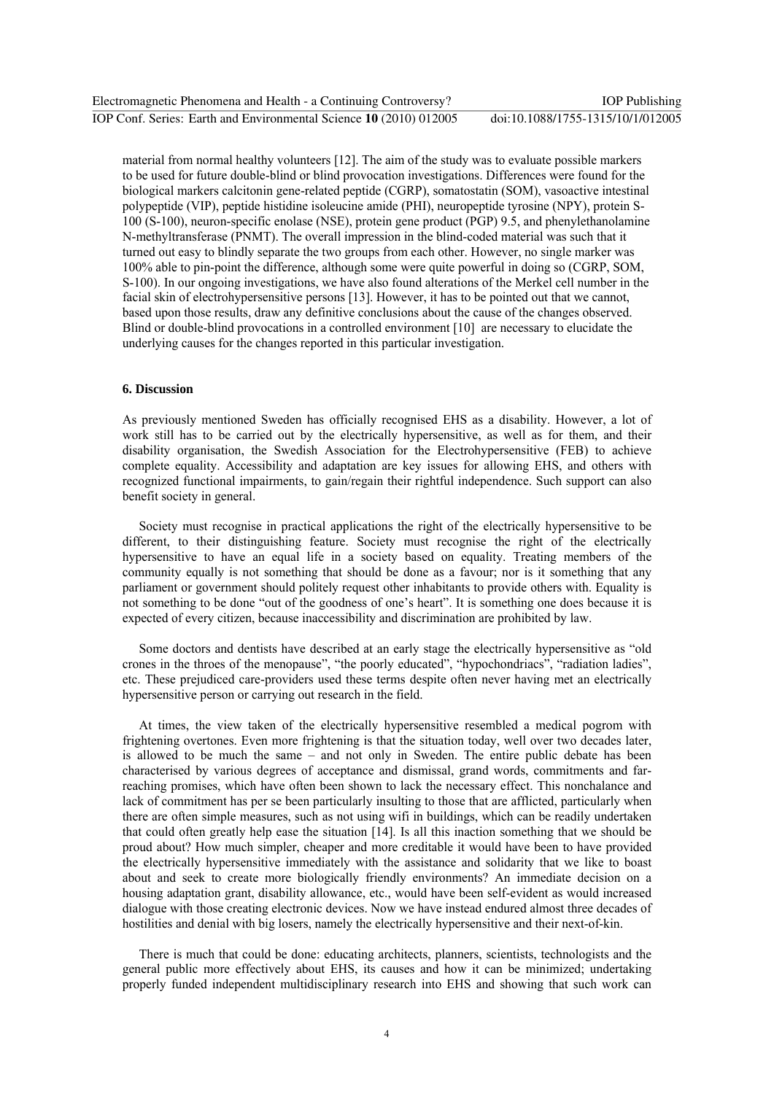material from normal healthy volunteers [12]. The aim of the study was to evaluate possible markers to be used for future double-blind or blind provocation investigations. Differences were found for the biological markers calcitonin gene-related peptide (CGRP), somatostatin (SOM), vasoactive intestinal polypeptide (VIP), peptide histidine isoleucine amide (PHI), neuropeptide tyrosine (NPY), protein S-100 (S-100), neuron-specific enolase (NSE), protein gene product (PGP) 9.5, and phenylethanolamine N-methyltransferase (PNMT). The overall impression in the blind-coded material was such that it turned out easy to blindly separate the two groups from each other. However, no single marker was 100% able to pin-point the difference, although some were quite powerful in doing so (CGRP, SOM, S-100). In our ongoing investigations, we have also found alterations of the Merkel cell number in the facial skin of electrohypersensitive persons [13]. However, it has to be pointed out that we cannot, based upon those results, draw any definitive conclusions about the cause of the changes observed. Blind or double-blind provocations in a controlled environment [10] are necessary to elucidate the underlying causes for the changes reported in this particular investigation.

# **6. Discussion**

As previously mentioned Sweden has officially recognised EHS as a disability. However, a lot of work still has to be carried out by the electrically hypersensitive, as well as for them, and their disability organisation, the Swedish Association for the Electrohypersensitive (FEB) to achieve complete equality. Accessibility and adaptation are key issues for allowing EHS, and others with recognized functional impairments, to gain/regain their rightful independence. Such support can also benefit society in general.

Society must recognise in practical applications the right of the electrically hypersensitive to be different, to their distinguishing feature. Society must recognise the right of the electrically hypersensitive to have an equal life in a society based on equality. Treating members of the community equally is not something that should be done as a favour; nor is it something that any parliament or government should politely request other inhabitants to provide others with. Equality is not something to be done "out of the goodness of one's heart". It is something one does because it is expected of every citizen, because inaccessibility and discrimination are prohibited by law.

Some doctors and dentists have described at an early stage the electrically hypersensitive as "old crones in the throes of the menopause", "the poorly educated", "hypochondriacs", "radiation ladies", etc. These prejudiced care-providers used these terms despite often never having met an electrically hypersensitive person or carrying out research in the field.

At times, the view taken of the electrically hypersensitive resembled a medical pogrom with frightening overtones. Even more frightening is that the situation today, well over two decades later, is allowed to be much the same – and not only in Sweden. The entire public debate has been characterised by various degrees of acceptance and dismissal, grand words, commitments and farreaching promises, which have often been shown to lack the necessary effect. This nonchalance and lack of commitment has per se been particularly insulting to those that are afflicted, particularly when there are often simple measures, such as not using wifi in buildings, which can be readily undertaken that could often greatly help ease the situation [14]. Is all this inaction something that we should be proud about? How much simpler, cheaper and more creditable it would have been to have provided the electrically hypersensitive immediately with the assistance and solidarity that we like to boast about and seek to create more biologically friendly environments? An immediate decision on a housing adaptation grant, disability allowance, etc., would have been self-evident as would increased dialogue with those creating electronic devices. Now we have instead endured almost three decades of hostilities and denial with big losers, namely the electrically hypersensitive and their next-of-kin.

There is much that could be done: educating architects, planners, scientists, technologists and the general public more effectively about EHS, its causes and how it can be minimized; undertaking properly funded independent multidisciplinary research into EHS and showing that such work can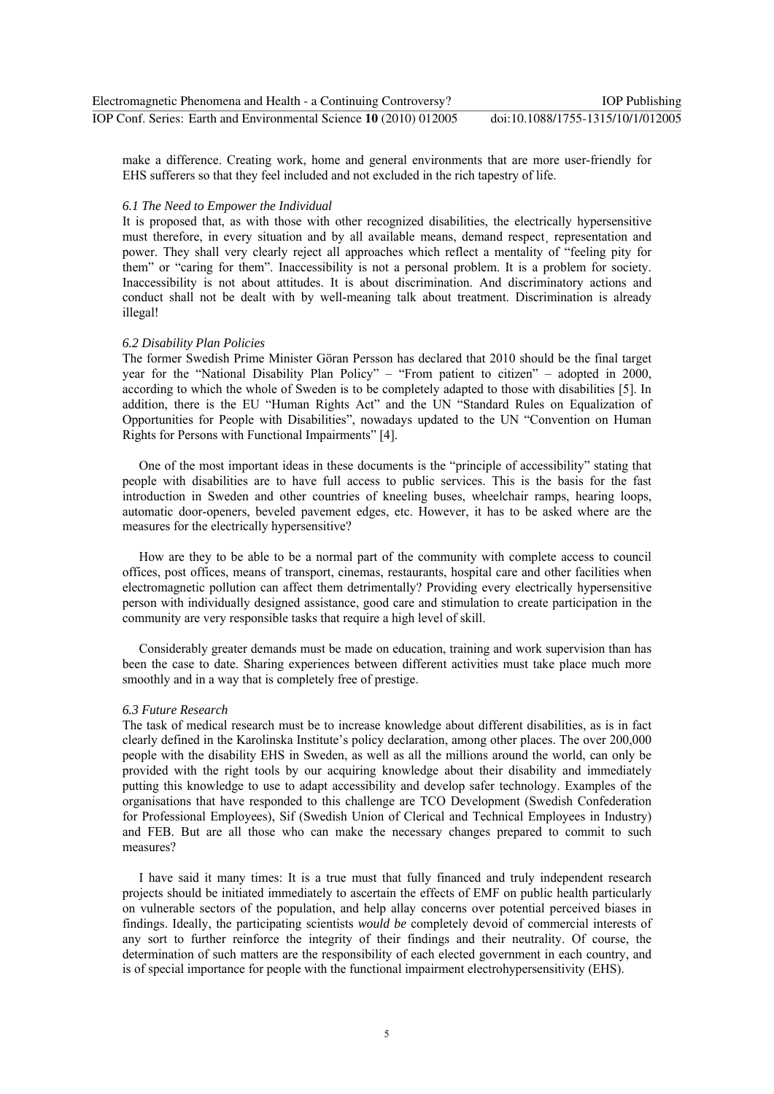| Electromagnetic Phenomena and Health - a Continuing Controversy?   | <b>IOP</b> Publishing             |
|--------------------------------------------------------------------|-----------------------------------|
| IOP Conf. Series: Earth and Environmental Science 10 (2010) 012005 | doi:10.1088/1755-1315/10/1/012005 |

make a difference. Creating work, home and general environments that are more user-friendly for EHS sufferers so that they feel included and not excluded in the rich tapestry of life.

# *6.1 The Need to Empower the Individual*

It is proposed that, as with those with other recognized disabilities, the electrically hypersensitive must therefore, in every situation and by all available means, demand respect, representation and power. They shall very clearly reject all approaches which reflect a mentality of "feeling pity for them" or "caring for them". Inaccessibility is not a personal problem. It is a problem for society. Inaccessibility is not about attitudes. It is about discrimination. And discriminatory actions and conduct shall not be dealt with by well-meaning talk about treatment. Discrimination is already illegal!

# *6.2 Disability Plan Policies*

The former Swedish Prime Minister Göran Persson has declared that 2010 should be the final target year for the "National Disability Plan Policy" – "From patient to citizen" – adopted in 2000, according to which the whole of Sweden is to be completely adapted to those with disabilities [5]. In addition, there is the EU "Human Rights Act" and the UN "Standard Rules on Equalization of Opportunities for People with Disabilities", nowadays updated to the UN "Convention on Human Rights for Persons with Functional Impairments" [4].

One of the most important ideas in these documents is the "principle of accessibility" stating that people with disabilities are to have full access to public services. This is the basis for the fast introduction in Sweden and other countries of kneeling buses, wheelchair ramps, hearing loops, automatic door-openers, beveled pavement edges, etc. However, it has to be asked where are the measures for the electrically hypersensitive?

How are they to be able to be a normal part of the community with complete access to council offices, post offices, means of transport, cinemas, restaurants, hospital care and other facilities when electromagnetic pollution can affect them detrimentally? Providing every electrically hypersensitive person with individually designed assistance, good care and stimulation to create participation in the community are very responsible tasks that require a high level of skill.

Considerably greater demands must be made on education, training and work supervision than has been the case to date. Sharing experiences between different activities must take place much more smoothly and in a way that is completely free of prestige.

#### *6.3 Future Research*

The task of medical research must be to increase knowledge about different disabilities, as is in fact clearly defined in the Karolinska Institute's policy declaration, among other places. The over 200,000 people with the disability EHS in Sweden, as well as all the millions around the world, can only be provided with the right tools by our acquiring knowledge about their disability and immediately putting this knowledge to use to adapt accessibility and develop safer technology. Examples of the organisations that have responded to this challenge are TCO Development (Swedish Confederation for Professional Employees), Sif (Swedish Union of Clerical and Technical Employees in Industry) and FEB. But are all those who can make the necessary changes prepared to commit to such measures?

I have said it many times: It is a true must that fully financed and truly independent research projects should be initiated immediately to ascertain the effects of EMF on public health particularly on vulnerable sectors of the population, and help allay concerns over potential perceived biases in findings. Ideally, the participating scientists *would be* completely devoid of commercial interests of any sort to further reinforce the integrity of their findings and their neutrality. Of course, the determination of such matters are the responsibility of each elected government in each country, and is of special importance for people with the functional impairment electrohypersensitivity (EHS).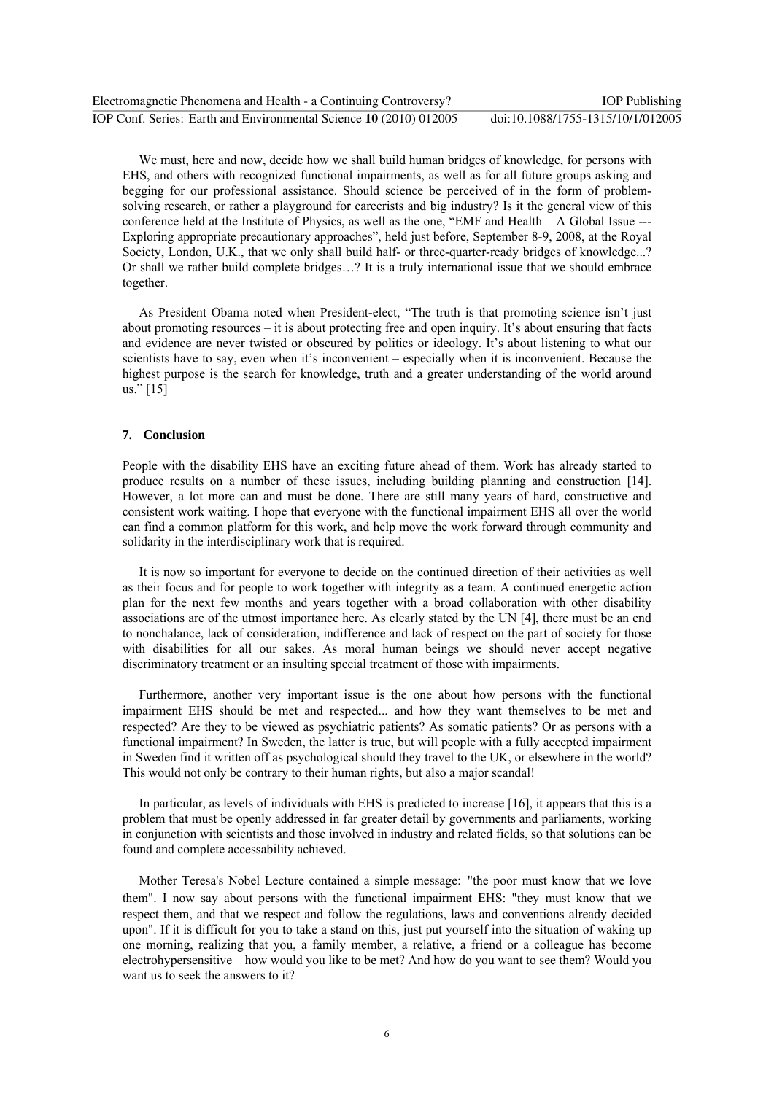| Electromagnetic Phenomena and Health - a Continuing Controversy?   | <b>IOP</b> Publishing             |
|--------------------------------------------------------------------|-----------------------------------|
| IOP Conf. Series: Earth and Environmental Science 10 (2010) 012005 | doi:10.1088/1755-1315/10/1/012005 |

We must, here and now, decide how we shall build human bridges of knowledge, for persons with EHS, and others with recognized functional impairments, as well as for all future groups asking and begging for our professional assistance. Should science be perceived of in the form of problemsolving research, or rather a playground for careerists and big industry? Is it the general view of this conference held at the Institute of Physics, as well as the one, "EMF and Health – A Global Issue --- Exploring appropriate precautionary approaches", held just before, September 8-9, 2008, at the Royal Society, London, U.K., that we only shall build half- or three-quarter-ready bridges of knowledge...? Or shall we rather build complete bridges…? It is a truly international issue that we should embrace together.

As President Obama noted when President-elect, "The truth is that promoting science isn't just about promoting resources – it is about protecting free and open inquiry. It's about ensuring that facts and evidence are never twisted or obscured by politics or ideology. It's about listening to what our scientists have to say, even when it's inconvenient – especially when it is inconvenient. Because the highest purpose is the search for knowledge, truth and a greater understanding of the world around us." [15]

# **7. Conclusion**

People with the disability EHS have an exciting future ahead of them. Work has already started to produce results on a number of these issues, including building planning and construction [14]. However, a lot more can and must be done. There are still many years of hard, constructive and consistent work waiting. I hope that everyone with the functional impairment EHS all over the world can find a common platform for this work, and help move the work forward through community and solidarity in the interdisciplinary work that is required.

It is now so important for everyone to decide on the continued direction of their activities as well as their focus and for people to work together with integrity as a team. A continued energetic action plan for the next few months and years together with a broad collaboration with other disability associations are of the utmost importance here. As clearly stated by the UN [4], there must be an end to nonchalance, lack of consideration, indifference and lack of respect on the part of society for those with disabilities for all our sakes. As moral human beings we should never accept negative discriminatory treatment or an insulting special treatment of those with impairments.

Furthermore, another very important issue is the one about how persons with the functional impairment EHS should be met and respected... and how they want themselves to be met and respected? Are they to be viewed as psychiatric patients? As somatic patients? Or as persons with a functional impairment? In Sweden, the latter is true, but will people with a fully accepted impairment in Sweden find it written off as psychological should they travel to the UK, or elsewhere in the world? This would not only be contrary to their human rights, but also a major scandal!

In particular, as levels of individuals with EHS is predicted to increase [16], it appears that this is a problem that must be openly addressed in far greater detail by governments and parliaments, working in conjunction with scientists and those involved in industry and related fields, so that solutions can be found and complete accessability achieved.

Mother Teresa's Nobel Lecture contained a simple message: "the poor must know that we love them". I now say about persons with the functional impairment EHS: "they must know that we respect them, and that we respect and follow the regulations, laws and conventions already decided upon". If it is difficult for you to take a stand on this, just put yourself into the situation of waking up one morning, realizing that you, a family member, a relative, a friend or a colleague has become electrohypersensitive – how would you like to be met? And how do you want to see them? Would you want us to seek the answers to it?